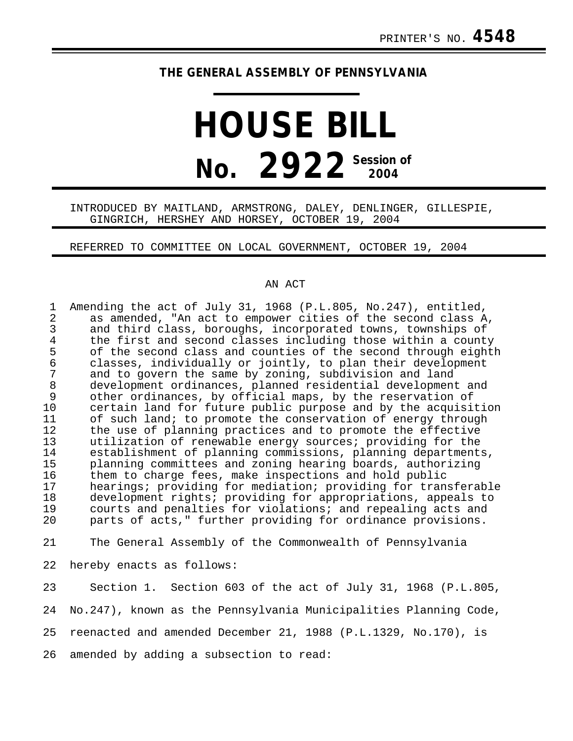# **THE GENERAL ASSEMBLY OF PENNSYLVANIA**

# **HOUSE BILL No. 2922 Session of 2004**

## INTRODUCED BY MAITLAND, ARMSTRONG, DALEY, DENLINGER, GILLESPIE, GINGRICH, HERSHEY AND HORSEY, OCTOBER 19, 2004

#### REFERRED TO COMMITTEE ON LOCAL GOVERNMENT, OCTOBER 19, 2004

### AN ACT

| $\mathbf 1$<br>$\overline{a}$<br>$\mathbf{3}$<br>$\overline{4}$<br>5<br>$\epsilon$<br>$\overline{7}$<br>$\,8\,$<br>$\mathsf 9$<br>10<br>11<br>12<br>13<br>14<br>15<br>16<br>17<br>18<br>19 | Amending the act of July 31, 1968 (P.L.805, No.247), entitled,<br>as amended, "An act to empower cities of the second class A,<br>and third class, boroughs, incorporated towns, townships of<br>the first and second classes including those within a county<br>of the second class and counties of the second through eighth<br>classes, individually or jointly, to plan their development<br>and to govern the same by zoning, subdivision and land<br>development ordinances, planned residential development and<br>other ordinances, by official maps, by the reservation of<br>certain land for future public purpose and by the acquisition<br>of such land; to promote the conservation of energy through<br>the use of planning practices and to promote the effective<br>utilization of renewable energy sources; providing for the<br>establishment of planning commissions, planning departments,<br>planning committees and zoning hearing boards, authorizing<br>them to charge fees, make inspections and hold public<br>hearings; providing for mediation; providing for transferable<br>development rights; providing for appropriations, appeals to<br>courts and penalties for violations; and repealing acts and |
|--------------------------------------------------------------------------------------------------------------------------------------------------------------------------------------------|----------------------------------------------------------------------------------------------------------------------------------------------------------------------------------------------------------------------------------------------------------------------------------------------------------------------------------------------------------------------------------------------------------------------------------------------------------------------------------------------------------------------------------------------------------------------------------------------------------------------------------------------------------------------------------------------------------------------------------------------------------------------------------------------------------------------------------------------------------------------------------------------------------------------------------------------------------------------------------------------------------------------------------------------------------------------------------------------------------------------------------------------------------------------------------------------------------------------------------------|
| 20                                                                                                                                                                                         | parts of acts," further providing for ordinance provisions.                                                                                                                                                                                                                                                                                                                                                                                                                                                                                                                                                                                                                                                                                                                                                                                                                                                                                                                                                                                                                                                                                                                                                                            |
| 21                                                                                                                                                                                         | The General Assembly of the Commonwealth of Pennsylvania                                                                                                                                                                                                                                                                                                                                                                                                                                                                                                                                                                                                                                                                                                                                                                                                                                                                                                                                                                                                                                                                                                                                                                               |
| 22                                                                                                                                                                                         | hereby enacts as follows:                                                                                                                                                                                                                                                                                                                                                                                                                                                                                                                                                                                                                                                                                                                                                                                                                                                                                                                                                                                                                                                                                                                                                                                                              |
| 23                                                                                                                                                                                         | Section 1. Section 603 of the act of July 31, 1968 (P.L.805,                                                                                                                                                                                                                                                                                                                                                                                                                                                                                                                                                                                                                                                                                                                                                                                                                                                                                                                                                                                                                                                                                                                                                                           |
| 24                                                                                                                                                                                         | No.247), known as the Pennsylvania Municipalities Planning Code,                                                                                                                                                                                                                                                                                                                                                                                                                                                                                                                                                                                                                                                                                                                                                                                                                                                                                                                                                                                                                                                                                                                                                                       |
| 25                                                                                                                                                                                         | reenacted and amended December 21, 1988 (P.L.1329, No.170), is                                                                                                                                                                                                                                                                                                                                                                                                                                                                                                                                                                                                                                                                                                                                                                                                                                                                                                                                                                                                                                                                                                                                                                         |
| 26                                                                                                                                                                                         | amended by adding a subsection to read:                                                                                                                                                                                                                                                                                                                                                                                                                                                                                                                                                                                                                                                                                                                                                                                                                                                                                                                                                                                                                                                                                                                                                                                                |